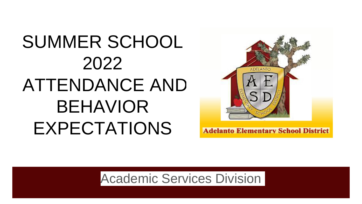# SUMMER SCHOOL 2022 ATTENDANCE AND BEHAVIOR EXPECTATIONS



**Adelanto Elementary School District** 

Academic Services Division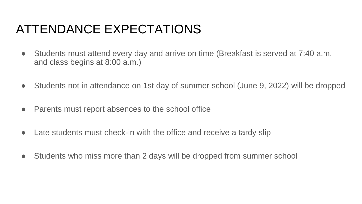## ATTENDANCE EXPECTATIONS

- Students must attend every day and arrive on time (Breakfast is served at 7:40 a.m. and class begins at 8:00 a.m.)
- Students not in attendance on 1st day of summer school (June 9, 2022) will be dropped
- Parents must report absences to the school office
- Late students must check-in with the office and receive a tardy slip
- Students who miss more than 2 days will be dropped from summer school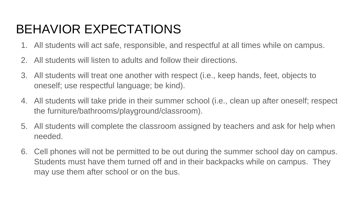# BEHAVIOR EXPECTATIONS

- 1. All students will act safe, responsible, and respectful at all times while on campus.
- 2. All students will listen to adults and follow their directions.
- 3. All students will treat one another with respect (i.e., keep hands, feet, objects to oneself; use respectful language; be kind).
- 4. All students will take pride in their summer school (i.e., clean up after oneself; respect the furniture/bathrooms/playground/classroom).
- 5. All students will complete the classroom assigned by teachers and ask for help when needed.
- 6. Cell phones will not be permitted to be out during the summer school day on campus. Students must have them turned off and in their backpacks while on campus. They may use them after school or on the bus.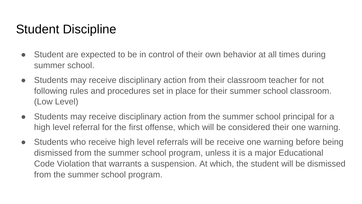### Student Discipline

- Student are expected to be in control of their own behavior at all times during summer school.
- Students may receive disciplinary action from their classroom teacher for not following rules and procedures set in place for their summer school classroom. (Low Level)
- Students may receive disciplinary action from the summer school principal for a high level referral for the first offense, which will be considered their one warning.
- Students who receive high level referrals will be receive one warning before being dismissed from the summer school program, unless it is a major Educational Code Violation that warrants a suspension. At which, the student will be dismissed from the summer school program.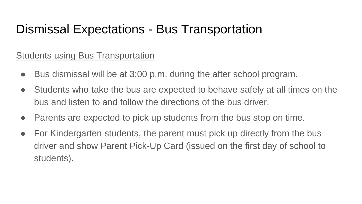### Dismissal Expectations - Bus Transportation

#### Students using Bus Transportation

- Bus dismissal will be at 3:00 p.m. during the after school program.
- Students who take the bus are expected to behave safely at all times on the bus and listen to and follow the directions of the bus driver.
- Parents are expected to pick up students from the bus stop on time.
- For Kindergarten students, the parent must pick up directly from the bus driver and show Parent Pick-Up Card (issued on the first day of school to students).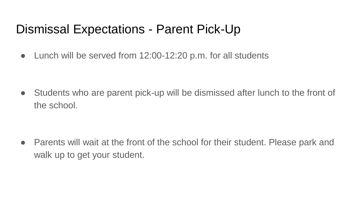#### Dismissal Expectations - Parent Pick-Up

• Lunch will be served from 12:00-12:20 p.m. for all students

• Students who are parent pick-up will be dismissed after lunch to the front of the school.

• Parents will wait at the front of the school for their student. Please park and walk up to get your student.